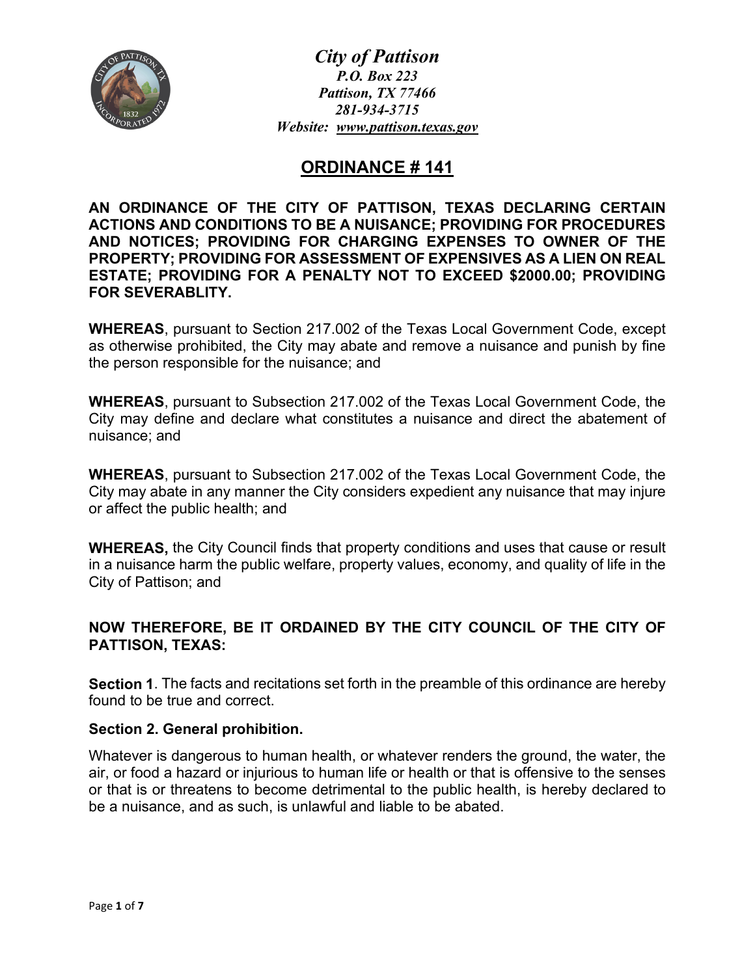

*City of Pattison P.O. Box 223 Pattison, TX 77466 281-934-3715 Website: [www.pattison.texas.gov](http://www.pattison.texas.gov/)*

# **ORDINANCE # 141**

**AN ORDINANCE OF THE CITY OF PATTISON, TEXAS DECLARING CERTAIN ACTIONS AND CONDITIONS TO BE A NUISANCE; PROVIDING FOR PROCEDURES AND NOTICES; PROVIDING FOR CHARGING EXPENSES TO OWNER OF THE PROPERTY; PROVIDING FOR ASSESSMENT OF EXPENSIVES AS A LIEN ON REAL ESTATE; PROVIDING FOR A PENALTY NOT TO EXCEED \$2000.00; PROVIDING FOR SEVERABLITY.**

**WHEREAS**, pursuant to Section 217.002 of the Texas Local Government Code, except as otherwise prohibited, the City may abate and remove a nuisance and punish by fine the person responsible for the nuisance; and

**WHEREAS**, pursuant to Subsection 217.002 of the Texas Local Government Code, the City may define and declare what constitutes a nuisance and direct the abatement of nuisance; and

**WHEREAS**, pursuant to Subsection 217.002 of the Texas Local Government Code, the City may abate in any manner the City considers expedient any nuisance that may injure or affect the public health; and

**WHEREAS,** the City Council finds that property conditions and uses that cause or result in a nuisance harm the public welfare, property values, economy, and quality of life in the City of Pattison; and

# **NOW THEREFORE, BE IT ORDAINED BY THE CITY COUNCIL OF THE CITY OF PATTISON, TEXAS:**

**Section 1**. The facts and recitations set forth in the preamble of this ordinance are hereby found to be true and correct.

### **Section 2. General prohibition.**

Whatever is dangerous to human health, or whatever renders the ground, the water, the air, or food a hazard or injurious to human life or health or that is offensive to the senses or that is or threatens to become detrimental to the public health, is hereby declared to be a nuisance, and as such, is unlawful and liable to be abated.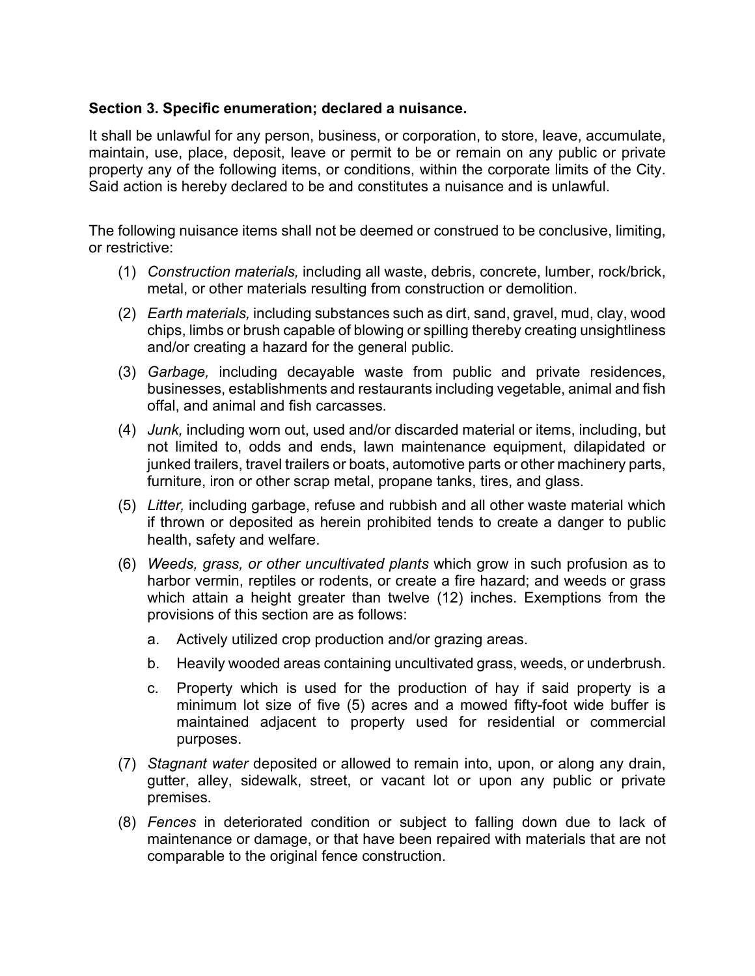### **Section 3. Specific enumeration; declared a nuisance.**

It shall be unlawful for any person, business, or corporation, to store, leave, accumulate, maintain, use, place, deposit, leave or permit to be or remain on any public or private property any of the following items, or conditions, within the corporate limits of the City. Said action is hereby declared to be and constitutes a nuisance and is unlawful.

The following nuisance items shall not be deemed or construed to be conclusive, limiting, or restrictive:

- (1) *Construction materials,* including all waste, debris, concrete, lumber, rock/brick, metal, or other materials resulting from construction or demolition.
- (2) *Earth materials,* including substances such as dirt, sand, gravel, mud, clay, wood chips, limbs or brush capable of blowing or spilling thereby creating unsightliness and/or creating a hazard for the general public.
- (3) *Garbage,* including decayable waste from public and private residences, businesses, establishments and restaurants including vegetable, animal and fish offal, and animal and fish carcasses.
- (4) *Junk,* including worn out, used and/or discarded material or items, including, but not limited to, odds and ends, lawn maintenance equipment, dilapidated or junked trailers, travel trailers or boats, automotive parts or other machinery parts, furniture, iron or other scrap metal, propane tanks, tires, and glass.
- (5) *Litter,* including garbage, refuse and rubbish and all other waste material which if thrown or deposited as herein prohibited tends to create a danger to public health, safety and welfare.
- (6) *Weeds, grass, or other uncultivated plants* which grow in such profusion as to harbor vermin, reptiles or rodents, or create a fire hazard; and weeds or grass which attain a height greater than twelve (12) inches. Exemptions from the provisions of this section are as follows:
	- a. Actively utilized crop production and/or grazing areas.
	- b. Heavily wooded areas containing uncultivated grass, weeds, or underbrush.
	- c. Property which is used for the production of hay if said property is a minimum lot size of five (5) acres and a mowed fifty-foot wide buffer is maintained adjacent to property used for residential or commercial purposes.
- (7) *Stagnant water* deposited or allowed to remain into, upon, or along any drain, gutter, alley, sidewalk, street, or vacant lot or upon any public or private premises.
- (8) *Fences* in deteriorated condition or subject to falling down due to lack of maintenance or damage, or that have been repaired with materials that are not comparable to the original fence construction.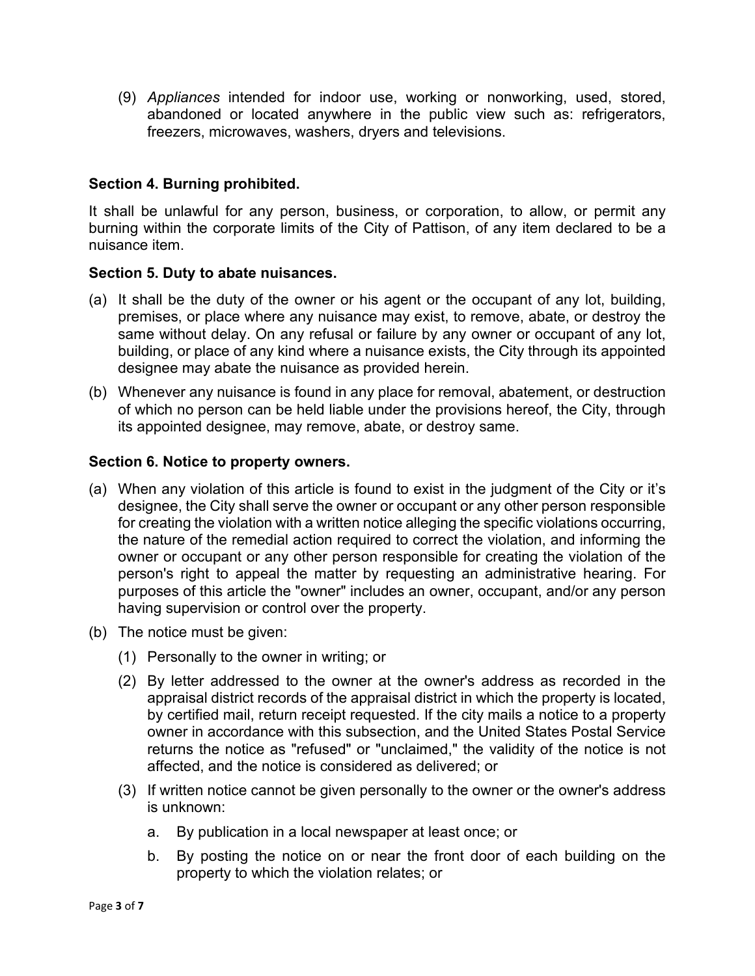(9) *Appliances* intended for indoor use, working or nonworking, used, stored, abandoned or located anywhere in the public view such as: refrigerators, freezers, microwaves, washers, dryers and televisions.

### **Section 4. Burning prohibited.**

It shall be unlawful for any person, business, or corporation, to allow, or permit any burning within the corporate limits of the City of Pattison, of any item declared to be a nuisance item.

### **Section 5. Duty to abate nuisances.**

- (a) It shall be the duty of the owner or his agent or the occupant of any lot, building, premises, or place where any nuisance may exist, to remove, abate, or destroy the same without delay. On any refusal or failure by any owner or occupant of any lot, building, or place of any kind where a nuisance exists, the City through its appointed designee may abate the nuisance as provided herein.
- (b) Whenever any nuisance is found in any place for removal, abatement, or destruction of which no person can be held liable under the provisions hereof, the City, through its appointed designee, may remove, abate, or destroy same.

### **Section 6. Notice to property owners.**

- (a) When any violation of this article is found to exist in the judgment of the City or it's designee, the City shall serve the owner or occupant or any other person responsible for creating the violation with a written notice alleging the specific violations occurring, the nature of the remedial action required to correct the violation, and informing the owner or occupant or any other person responsible for creating the violation of the person's right to appeal the matter by requesting an administrative hearing. For purposes of this article the "owner" includes an owner, occupant, and/or any person having supervision or control over the property.
- (b) The notice must be given:
	- (1) Personally to the owner in writing; or
	- (2) By letter addressed to the owner at the owner's address as recorded in the appraisal district records of the appraisal district in which the property is located, by certified mail, return receipt requested. If the city mails a notice to a property owner in accordance with this subsection, and the United States Postal Service returns the notice as "refused" or "unclaimed," the validity of the notice is not affected, and the notice is considered as delivered; or
	- (3) If written notice cannot be given personally to the owner or the owner's address is unknown:
		- a. By publication in a local newspaper at least once; or
		- b. By posting the notice on or near the front door of each building on the property to which the violation relates; or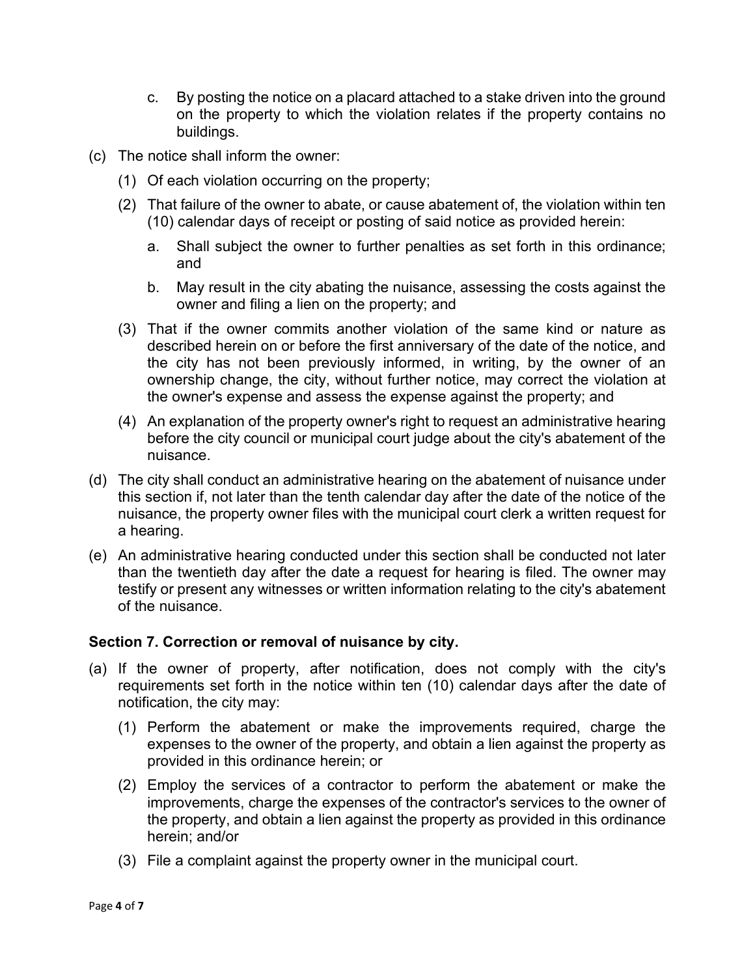- c. By posting the notice on a placard attached to a stake driven into the ground on the property to which the violation relates if the property contains no buildings.
- (c) The notice shall inform the owner:
	- (1) Of each violation occurring on the property;
	- (2) That failure of the owner to abate, or cause abatement of, the violation within ten (10) calendar days of receipt or posting of said notice as provided herein:
		- a. Shall subject the owner to further penalties as set forth in this ordinance; and
		- b. May result in the city abating the nuisance, assessing the costs against the owner and filing a lien on the property; and
	- (3) That if the owner commits another violation of the same kind or nature as described herein on or before the first anniversary of the date of the notice, and the city has not been previously informed, in writing, by the owner of an ownership change, the city, without further notice, may correct the violation at the owner's expense and assess the expense against the property; and
	- (4) An explanation of the property owner's right to request an administrative hearing before the city council or municipal court judge about the city's abatement of the nuisance.
- (d) The city shall conduct an administrative hearing on the abatement of nuisance under this section if, not later than the tenth calendar day after the date of the notice of the nuisance, the property owner files with the municipal court clerk a written request for a hearing.
- (e) An administrative hearing conducted under this section shall be conducted not later than the twentieth day after the date a request for hearing is filed. The owner may testify or present any witnesses or written information relating to the city's abatement of the nuisance.

#### **Section 7. Correction or removal of nuisance by city.**

- (a) If the owner of property, after notification, does not comply with the city's requirements set forth in the notice within ten (10) calendar days after the date of notification, the city may:
	- (1) Perform the abatement or make the improvements required, charge the expenses to the owner of the property, and obtain a lien against the property as provided in this ordinance herein; or
	- (2) Employ the services of a contractor to perform the abatement or make the improvements, charge the expenses of the contractor's services to the owner of the property, and obtain a lien against the property as provided in this ordinance herein; and/or
	- (3) File a complaint against the property owner in the municipal court.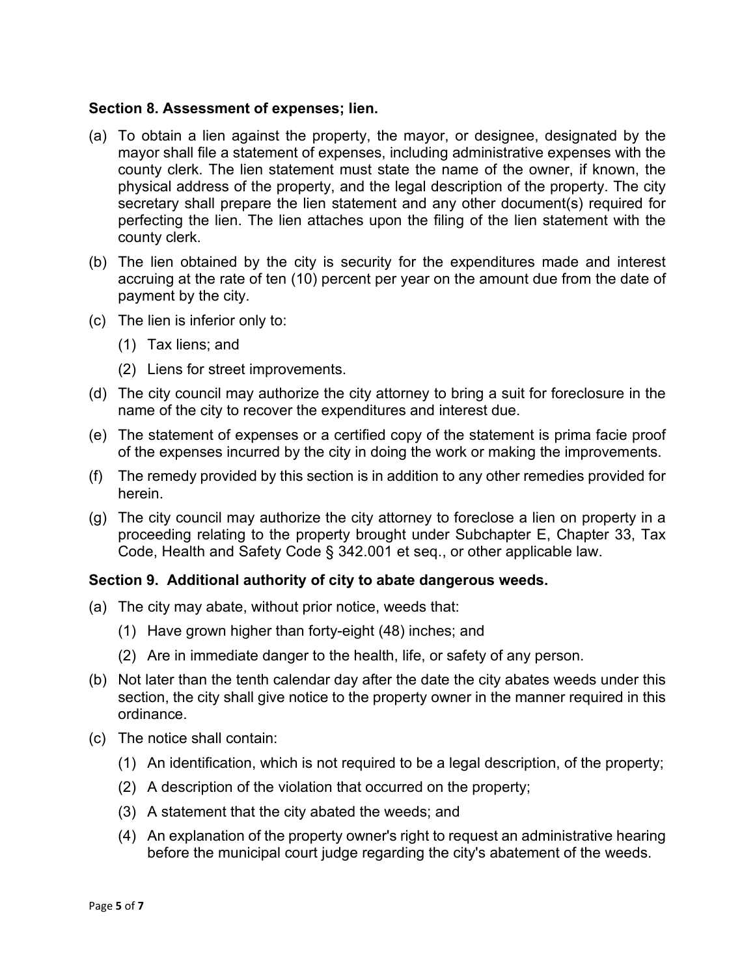### **Section 8. Assessment of expenses; lien.**

- (a) To obtain a lien against the property, the mayor, or designee, designated by the mayor shall file a statement of expenses, including administrative expenses with the county clerk. The lien statement must state the name of the owner, if known, the physical address of the property, and the legal description of the property. The city secretary shall prepare the lien statement and any other document(s) required for perfecting the lien. The lien attaches upon the filing of the lien statement with the county clerk.
- (b) The lien obtained by the city is security for the expenditures made and interest accruing at the rate of ten (10) percent per year on the amount due from the date of payment by the city.
- (c) The lien is inferior only to:
	- (1) Tax liens; and
	- (2) Liens for street improvements.
- (d) The city council may authorize the city attorney to bring a suit for foreclosure in the name of the city to recover the expenditures and interest due.
- (e) The statement of expenses or a certified copy of the statement is prima facie proof of the expenses incurred by the city in doing the work or making the improvements.
- (f) The remedy provided by this section is in addition to any other remedies provided for herein.
- (g) The city council may authorize the city attorney to foreclose a lien on property in a proceeding relating to the property brought under Subchapter E, Chapter 33, Tax Code, Health and Safety Code § 342.001 et seq., or other applicable law.

### **Section 9. Additional authority of city to abate dangerous weeds.**

- (a) The city may abate, without prior notice, weeds that:
	- (1) Have grown higher than forty-eight (48) inches; and
	- (2) Are in immediate danger to the health, life, or safety of any person.
- (b) Not later than the tenth calendar day after the date the city abates weeds under this section, the city shall give notice to the property owner in the manner required in this ordinance.
- (c) The notice shall contain:
	- (1) An identification, which is not required to be a legal description, of the property;
	- (2) A description of the violation that occurred on the property;
	- (3) A statement that the city abated the weeds; and
	- (4) An explanation of the property owner's right to request an administrative hearing before the municipal court judge regarding the city's abatement of the weeds.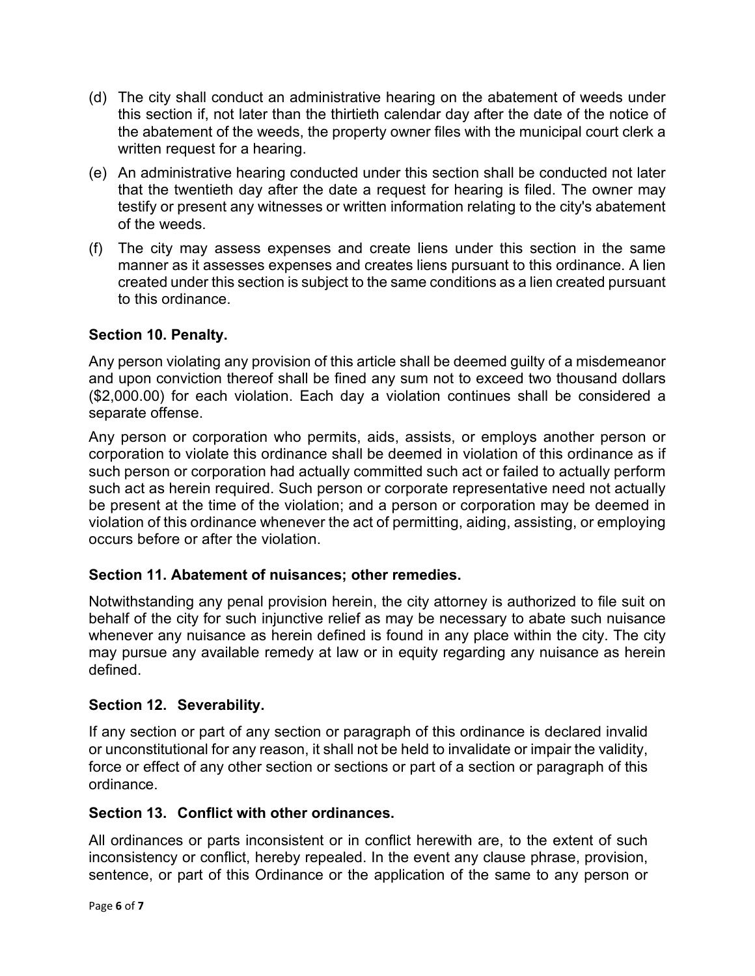- (d) The city shall conduct an administrative hearing on the abatement of weeds under this section if, not later than the thirtieth calendar day after the date of the notice of the abatement of the weeds, the property owner files with the municipal court clerk a written request for a hearing.
- (e) An administrative hearing conducted under this section shall be conducted not later that the twentieth day after the date a request for hearing is filed. The owner may testify or present any witnesses or written information relating to the city's abatement of the weeds.
- (f) The city may assess expenses and create liens under this section in the same manner as it assesses expenses and creates liens pursuant to this ordinance. A lien created under this section is subject to the same conditions as a lien created pursuant to this ordinance.

## **Section 10. Penalty.**

Any person violating any provision of this article shall be deemed guilty of a misdemeanor and upon conviction thereof shall be fined any sum not to exceed two thousand dollars (\$2,000.00) for each violation. Each day a violation continues shall be considered a separate offense.

Any person or corporation who permits, aids, assists, or employs another person or corporation to violate this ordinance shall be deemed in violation of this ordinance as if such person or corporation had actually committed such act or failed to actually perform such act as herein required. Such person or corporate representative need not actually be present at the time of the violation; and a person or corporation may be deemed in violation of this ordinance whenever the act of permitting, aiding, assisting, or employing occurs before or after the violation.

### **Section 11. Abatement of nuisances; other remedies.**

Notwithstanding any penal provision herein, the city attorney is authorized to file suit on behalf of the city for such injunctive relief as may be necessary to abate such nuisance whenever any nuisance as herein defined is found in any place within the city. The city may pursue any available remedy at law or in equity regarding any nuisance as herein defined.

### **Section 12. Severability.**

If any section or part of any section or paragraph of this ordinance is declared invalid or unconstitutional for any reason, it shall not be held to invalidate or impair the validity, force or effect of any other section or sections or part of a section or paragraph of this ordinance.

### **Section 13. Conflict with other ordinances.**

All ordinances or parts inconsistent or in conflict herewith are, to the extent of such inconsistency or conflict, hereby repealed. In the event any clause phrase, provision, sentence, or part of this Ordinance or the application of the same to any person or